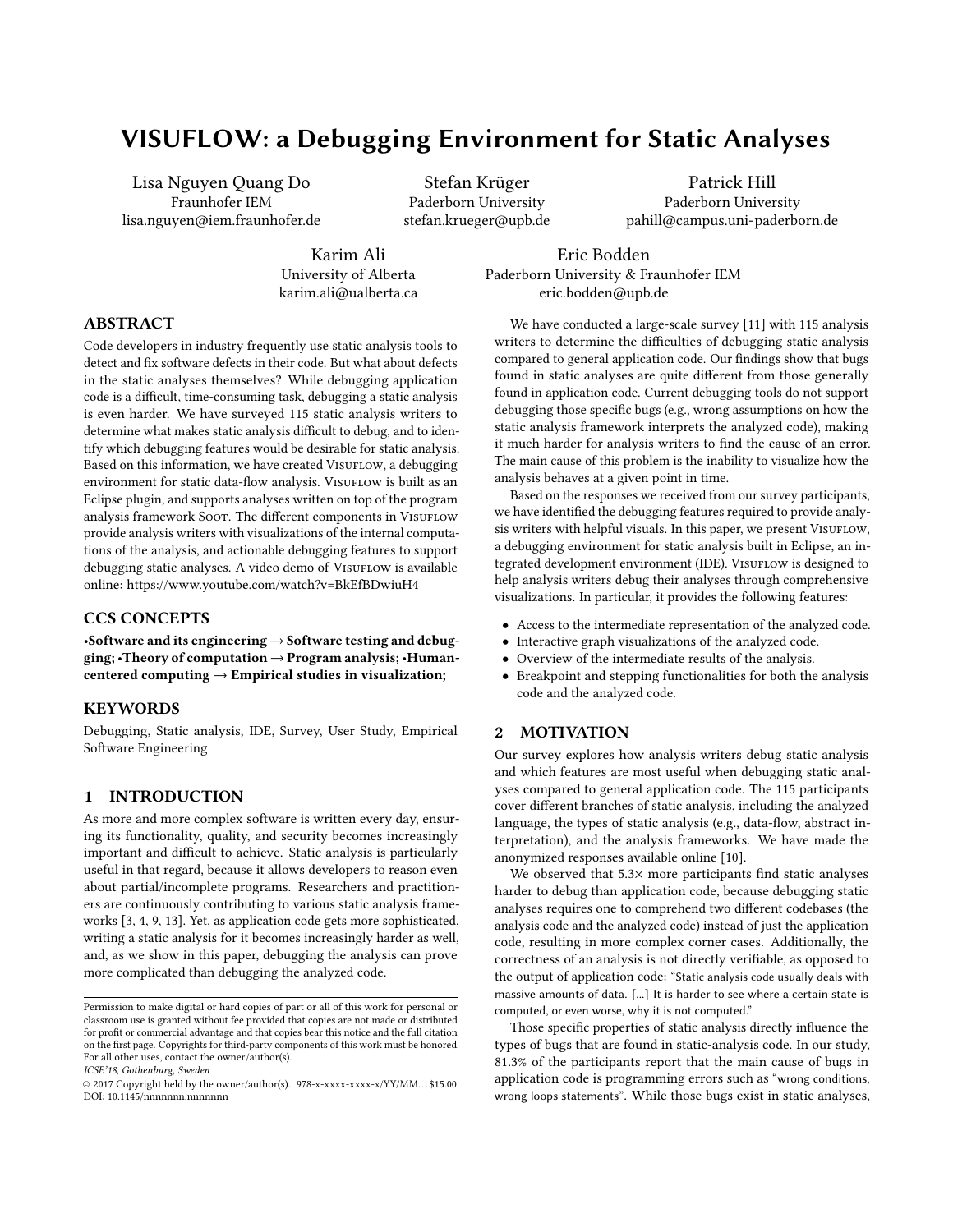# VISUFLOW: a Debugging Environment for Static Analyses

Lisa Nguyen Quang Do Fraunhofer IEM lisa.nguyen@iem.fraunhofer.de

Stefan Krüger Paderborn University stefan.krueger@upb.de

Patrick Hill Paderborn University pahill@campus.uni-paderborn.de

Karim Ali University of Alberta karim.ali@ualberta.ca

Eric Bodden Paderborn University & Fraunhofer IEM eric.bodden@upb.de

## ABSTRACT

Code developers in industry frequently use static analysis tools to detect and fix software defects in their code. But what about defects in the static analyses themselves? While debugging application code is a difficult, time-consuming task, debugging a static analysis is even harder. We have surveyed 115 static analysis writers to determine what makes static analysis difficult to debug, and to identify which debugging features would be desirable for static analysis. Based on this information, we have created VISUFLOW, a debugging environment for static data-flow analysis. VISUFLOW is built as an Eclipse plugin, and supports analyses written on top of the program analysis framework Soot. The different components in VISUFLOW provide analysis writers with visualizations of the internal computations of the analysis, and actionable debugging features to support debugging static analyses. A video demo of VISUFLOW is available online: https://www.youtube.com/watch?v=BkEfBDwiuH4

## CCS CONCEPTS

•Software and its engineering → Software testing and debugging; •Theory of computation → Program analysis; •Humancentered computing  $\rightarrow$  Empirical studies in visualization;

## **KEYWORDS**

Debugging, Static analysis, IDE, Survey, User Study, Empirical Software Engineering

## 1 INTRODUCTION

As more and more complex software is written every day, ensuring its functionality, quality, and security becomes increasingly important and difficult to achieve. Static analysis is particularly useful in that regard, because it allows developers to reason even about partial/incomplete programs. Researchers and practitioners are continuously contributing to various static analysis frameworks [\[3,](#page-3-0) [4,](#page-3-1) [9,](#page-3-2) [13\]](#page-3-3). Yet, as application code gets more sophisticated, writing a static analysis for it becomes increasingly harder as well, and, as we show in this paper, debugging the analysis can prove more complicated than debugging the analyzed code.

ICSE'18, Gothenburg, Sweden

We have conducted a large-scale survey [\[11\]](#page-3-4) with 115 analysis writers to determine the difficulties of debugging static analysis compared to general application code. Our findings show that bugs found in static analyses are quite different from those generally found in application code. Current debugging tools do not support debugging those specific bugs (e.g., wrong assumptions on how the static analysis framework interprets the analyzed code), making it much harder for analysis writers to find the cause of an error. The main cause of this problem is the inability to visualize how the analysis behaves at a given point in time.

Based on the responses we received from our survey participants, we have identified the debugging features required to provide analysis writers with helpful visuals. In this paper, we present VISUFLOW, a debugging environment for static analysis built in Eclipse, an integrated development environment (IDE). VISUFLOW is designed to help analysis writers debug their analyses through comprehensive visualizations. In particular, it provides the following features:

- Access to the intermediate representation of the analyzed code.
- Interactive graph visualizations of the analyzed code.
- Overview of the intermediate results of the analysis.
- Breakpoint and stepping functionalities for both the analysis code and the analyzed code.

## 2 MOTIVATION

Our survey explores how analysis writers debug static analysis and which features are most useful when debugging static analyses compared to general application code. The 115 participants cover different branches of static analysis, including the analyzed language, the types of static analysis (e.g., data-flow, abstract interpretation), and the analysis frameworks. We have made the anonymized responses available online [\[10\]](#page-3-5).

We observed that  $5.3\times$  more participants find static analyses harder to debug than application code, because debugging static analyses requires one to comprehend two different codebases (the analysis code and the analyzed code) instead of just the application code, resulting in more complex corner cases. Additionally, the correctness of an analysis is not directly verifiable, as opposed to the output of application code: "Static analysis code usually deals with massive amounts of data. [...] It is harder to see where a certain state is computed, or even worse, why it is not computed."

Those specific properties of static analysis directly influence the types of bugs that are found in static-analysis code. In our study, 81.3% of the participants report that the main cause of bugs in application code is programming errors such as "wrong conditions, wrong loops statements". While those bugs exist in static analyses,

Permission to make digital or hard copies of part or all of this work for personal or classroom use is granted without fee provided that copies are not made or distributed for profit or commercial advantage and that copies bear this notice and the full citation on the first page. Copyrights for third-party components of this work must be honored. For all other uses, contact the owner/author(s).

<sup>©</sup> 2017 Copyright held by the owner/author(s). 978-x-xxxx-xxxx-x/YY/MM. . . \$15.00 DOI: 10.1145/nnnnnnn.nnnnnnn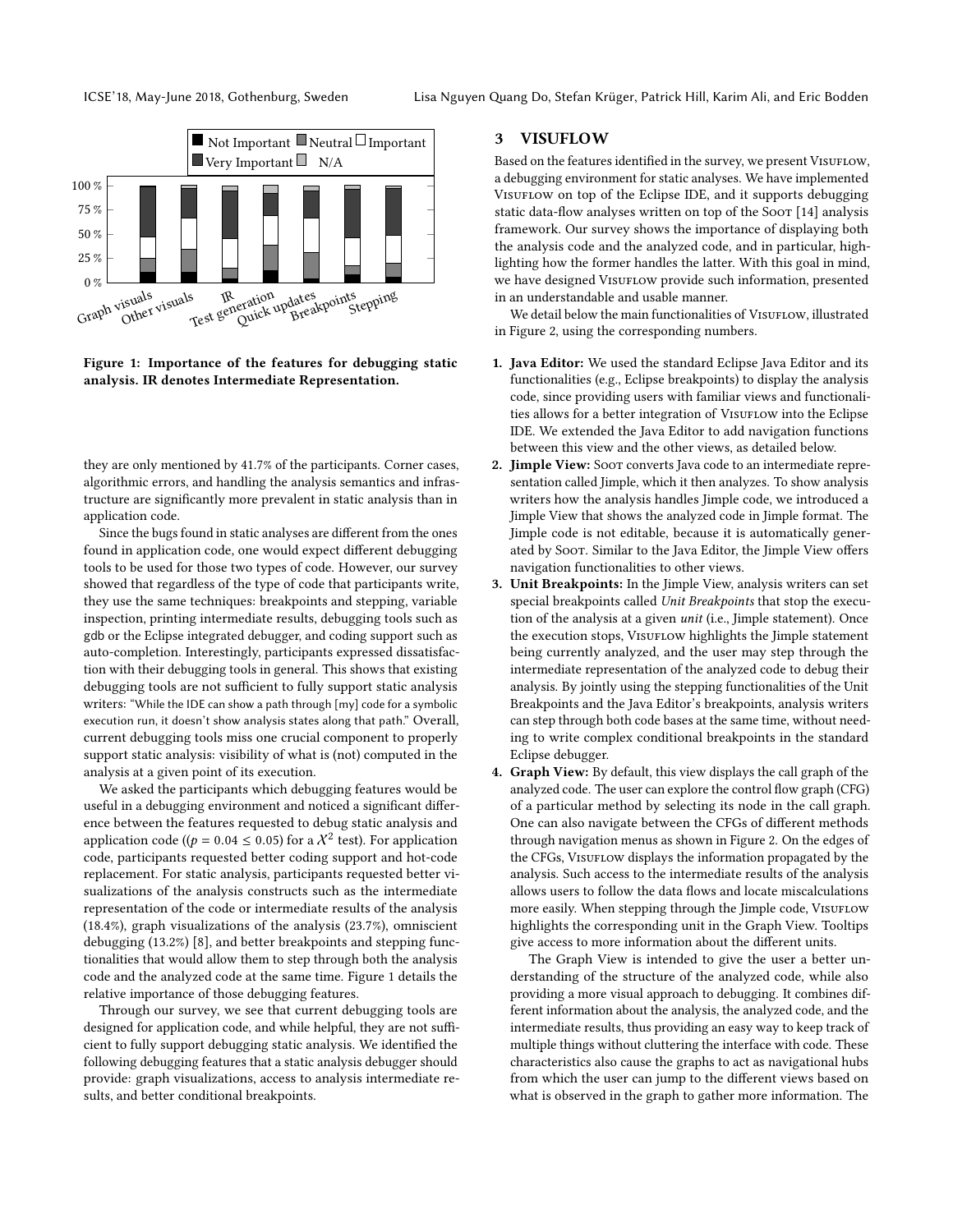<span id="page-1-0"></span>

Figure 1: Importance of the features for debugging static analysis. IR denotes Intermediate Representation.

they are only mentioned by 41.7% of the participants. Corner cases, algorithmic errors, and handling the analysis semantics and infrastructure are signicantly more prevalent in static analysis than in application code.

Since the bugs found in static analyses are different from the ones found in application code, one would expect different debugging tools to be used for those two types of code. However, our survey showed that regardless of the type of code that participants write, they use the same techniques: breakpoints and stepping, variable inspection, printing intermediate results, debugging tools such as gdb or the Eclipse integrated debugger, and coding support such as auto-completion. Interestingly, participants expressed dissatisfaction with their debugging tools in general. This shows that existing debugging tools are not sufficient to fully support static analysis writers: "While the IDE can show a path through [my] code for a symbolic execution run, it doesn't show analysis states along that path." Overall, current debugging tools miss one crucial component to properly support static analysis: visibility of what is (not) computed in the analysis at a given point of its execution.

We asked the participants which debugging features would be useful in a debugging environment and noticed a significant difference between the features requested to debug static analysis and application code (( $p = 0.04 \le 0.05$ ) for a  $\chi^2$  test). For application code, participants requested better coding support and bet-code code, participants requested better coding support and hot-code replacement. For static analysis, participants requested better visualizations of the analysis constructs such as the intermediate representation of the code or intermediate results of the analysis (18.4%), graph visualizations of the analysis (23.7%), omniscient debugging (13.2%) [\[8\]](#page-3-6), and better breakpoints and stepping functionalities that would allow them to step through both the analysis code and the analyzed code at the same time. Figure [1](#page-1-0) details the relative importance of those debugging features.

Through our survey, we see that current debugging tools are designed for application code, and while helpful, they are not sufficient to fully support debugging static analysis. We identified the following debugging features that a static analysis debugger should provide: graph visualizations, access to analysis intermediate results, and better conditional breakpoints.

## <span id="page-1-1"></span>3 VISUFLOW

Based on the features identified in the survey, we present VISUFLOW, a debugging environment for static analyses. We have implemented VISUFLOW on top of the Eclipse IDE, and it supports debugging static data-flow analyses written on top of the Soot [\[14\]](#page-3-7) analysis framework. Our survey shows the importance of displaying both the analysis code and the analyzed code, and in particular, highlighting how the former handles the latter. With this goal in mind, we have designed VISUFLOW provide such information, presented in an understandable and usable manner.

We detail below the main functionalities of VISUFLOW, illustrated in Figure [2,](#page-2-0) using the corresponding numbers.

- 1. Java Editor: We used the standard Eclipse Java Editor and its functionalities (e.g., Eclipse breakpoints) to display the analysis code, since providing users with familiar views and functionalities allows for a better integration of VISUFLOW into the Eclipse IDE. We extended the Java Editor to add navigation functions between this view and the other views, as detailed below.
- 2. **Jimple View:** Soot converts Java code to an intermediate representation called Jimple, which it then analyzes. To show analysis writers how the analysis handles Jimple code, we introduced a Jimple View that shows the analyzed code in Jimple format. The Jimple code is not editable, because it is automatically generated by Soor. Similar to the Java Editor, the Jimple View offers navigation functionalities to other views.
- 3. Unit Breakpoints: In the Jimple View, analysis writers can set special breakpoints called Unit Breakpoints that stop the execution of the analysis at a given unit (i.e., Jimple statement). Once the execution stops, VISUFLOW highlights the Jimple statement being currently analyzed, and the user may step through the intermediate representation of the analyzed code to debug their analysis. By jointly using the stepping functionalities of the Unit Breakpoints and the Java Editor's breakpoints, analysis writers can step through both code bases at the same time, without needing to write complex conditional breakpoints in the standard Eclipse debugger.
- 4. Graph View: By default, this view displays the call graph of the analyzed code. The user can explore the control flow graph (CFG) of a particular method by selecting its node in the call graph. One can also navigate between the CFGs of different methods through navigation menus as shown in Figure [2.](#page-2-0) On the edges of the CFGs, VISUFLOW displays the information propagated by the analysis. Such access to the intermediate results of the analysis allows users to follow the data flows and locate miscalculations more easily. When stepping through the Jimple code, VISUFLOW highlights the corresponding unit in the Graph View. Tooltips give access to more information about the different units.

The Graph View is intended to give the user a better understanding of the structure of the analyzed code, while also providing a more visual approach to debugging. It combines different information about the analysis, the analyzed code, and the intermediate results, thus providing an easy way to keep track of multiple things without cluttering the interface with code. These characteristics also cause the graphs to act as navigational hubs from which the user can jump to the different views based on what is observed in the graph to gather more information. The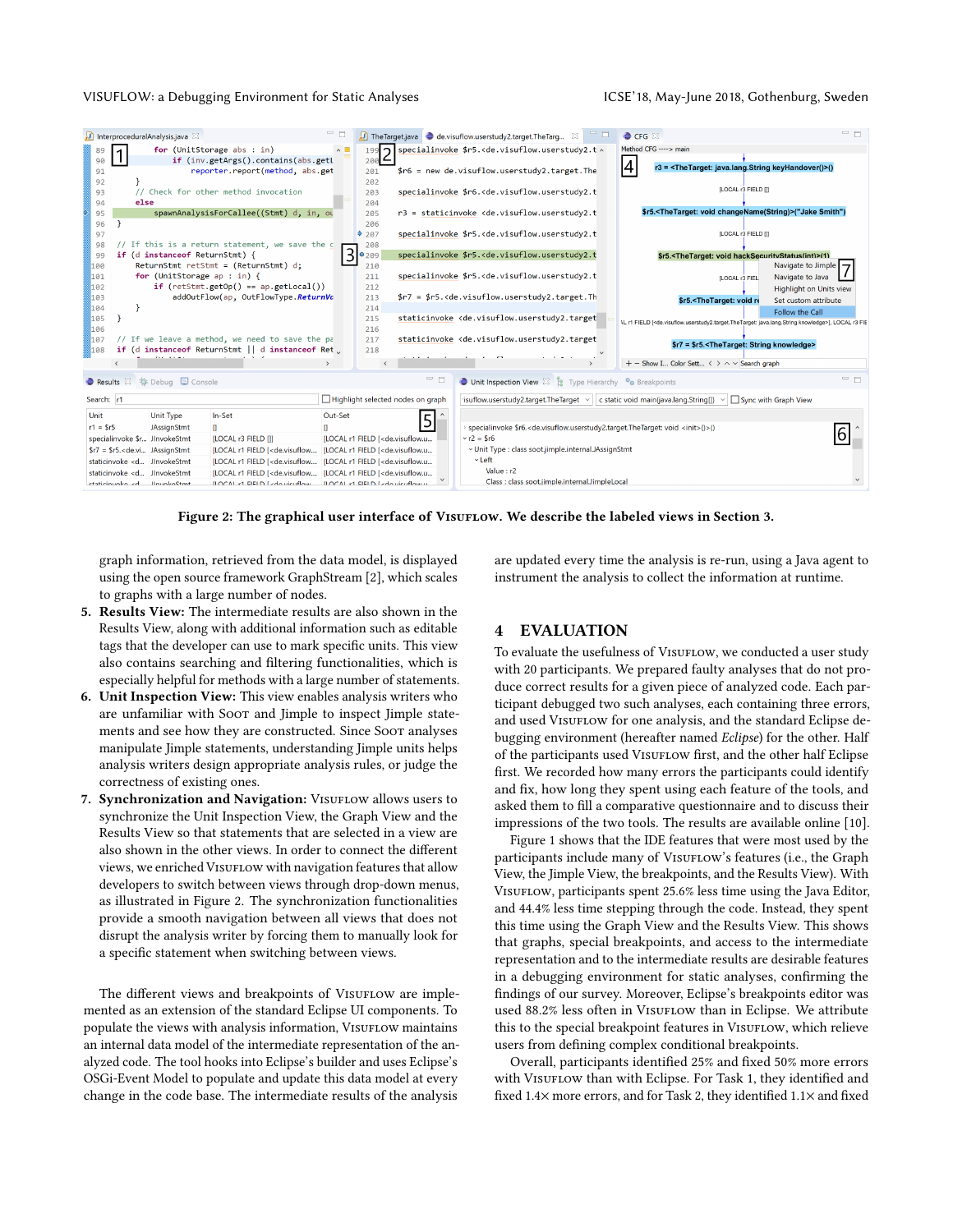### VISUFLOW: a Debugging Environment for Static Analyses **ICSE** 18, May-June 2018, Gothenburg, Sweden

<span id="page-2-0"></span>

Figure 2: The graphical user interface of VISUFLOW. We describe the labeled views in Section [3.](#page-1-1)

graph information, retrieved from the data model, is displayed using the open source framework GraphStream [\[2\]](#page-3-8), which scales to graphs with a large number of nodes.

- 5. Results View: The intermediate results are also shown in the Results View, along with additional information such as editable tags that the developer can use to mark specific units. This view also contains searching and filtering functionalities, which is especially helpful for methods with a large number of statements.
- 6. Unit Inspection View: This view enables analysis writers who are unfamiliar with Soor and Jimple to inspect Jimple statements and see how they are constructed. Since Soor analyses manipulate Jimple statements, understanding Jimple units helps analysis writers design appropriate analysis rules, or judge the correctness of existing ones.
- 7. Synchronization and Navigation: VISUFLOW allows users to synchronize the Unit Inspection View, the Graph View and the Results View so that statements that are selected in a view are also shown in the other views. In order to connect the different views, we enriched VISUFLOW with navigation features that allow developers to switch between views through drop-down menus, as illustrated in Figure [2.](#page-2-0) The synchronization functionalities provide a smooth navigation between all views that does not disrupt the analysis writer by forcing them to manually look for a specific statement when switching between views.

The different views and breakpoints of VISUFLOW are implemented as an extension of the standard Eclipse UI components. To populate the views with analysis information, VISUFLOW maintains an internal data model of the intermediate representation of the analyzed code. The tool hooks into Eclipse's builder and uses Eclipse's OSGi-Event Model to populate and update this data model at every change in the code base. The intermediate results of the analysis

are updated every time the analysis is re-run, using a Java agent to instrument the analysis to collect the information at runtime.

## 4 EVALUATION

To evaluate the usefulness of VISUFLOW, we conducted a user study with 20 participants. We prepared faulty analyses that do not produce correct results for a given piece of analyzed code. Each participant debugged two such analyses, each containing three errors, and used VISUFLOW for one analysis, and the standard Eclipse debugging environment (hereafter named Eclipse) for the other. Half of the participants used VISUFLOW first, and the other half Eclipse first. We recorded how many errors the participants could identify and fix, how long they spent using each feature of the tools, and asked them to fill a comparative questionnaire and to discuss their impressions of the two tools. The results are available online [\[10\]](#page-3-5).

Figure [1](#page-3-9) shows that the IDE features that were most used by the participants include many of VISUFLOW's features (i.e., the Graph View, the Jimple View, the breakpoints, and the Results View). With VISUFLOW, participants spent 25.6% less time using the Java Editor, and 44.4% less time stepping through the code. Instead, they spent this time using the Graph View and the Results View. This shows that graphs, special breakpoints, and access to the intermediate representation and to the intermediate results are desirable features in a debugging environment for static analyses, confirming the ndings of our survey. Moreover, Eclipse's breakpoints editor was used 88.2% less often in VISUFLOW than in Eclipse. We attribute this to the special breakpoint features in VISUFLOW, which relieve users from defining complex conditional breakpoints.

Overall, participants identified 25% and fixed 50% more errors with VISUFLOW than with Eclipse. For Task 1, they identified and fixed 1.4 $\times$  more errors, and for Task 2, they identified 1.1 $\times$  and fixed